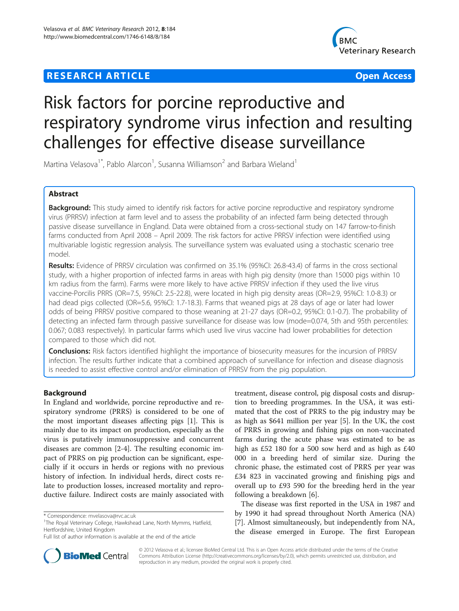# **RESEARCH ARTICLE Example 2014 12:30 THE Open Access**



# Risk factors for porcine reproductive and respiratory syndrome virus infection and resulting challenges for effective disease surveillance

Martina Velasova<sup>1\*</sup>, Pablo Alarcon<sup>1</sup>, Susanna Williamson<sup>2</sup> and Barbara Wieland<sup>1</sup>

# Abstract

Background: This study aimed to identify risk factors for active porcine reproductive and respiratory syndrome virus (PRRSV) infection at farm level and to assess the probability of an infected farm being detected through passive disease surveillance in England. Data were obtained from a cross-sectional study on 147 farrow-to-finish farms conducted from April 2008 – April 2009. The risk factors for active PRRSV infection were identified using multivariable logistic regression analysis. The surveillance system was evaluated using a stochastic scenario tree model.

Results: Evidence of PRRSV circulation was confirmed on 35.1% (95%CI: 26.8-43.4) of farms in the cross sectional study, with a higher proportion of infected farms in areas with high pig density (more than 15000 pigs within 10 km radius from the farm). Farms were more likely to have active PRRSV infection if they used the live virus vaccine-Porcilis PRRS (OR=7.5, 95%CI: 2.5-22.8), were located in high pig density areas (OR=2.9, 95%CI: 1.0-8.3) or had dead pigs collected (OR=5.6, 95%CI: 1.7-18.3). Farms that weaned pigs at 28 days of age or later had lower odds of being PRRSV positive compared to those weaning at 21-27 days (OR=0.2, 95%CI: 0.1-0.7). The probability of detecting an infected farm through passive surveillance for disease was low (mode=0.074, 5th and 95th percentiles: 0.067; 0.083 respectively). In particular farms which used live virus vaccine had lower probabilities for detection compared to those which did not.

Conclusions: Risk factors identified highlight the importance of biosecurity measures for the incursion of PRRSV infection. The results further indicate that a combined approach of surveillance for infection and disease diagnosis is needed to assist effective control and/or elimination of PRRSV from the pig population.

# Background

In England and worldwide, porcine reproductive and respiratory syndrome (PRRS) is considered to be one of the most important diseases affecting pigs [\[1](#page-11-0)]. This is mainly due to its impact on production, especially as the virus is putatively immunosuppressive and concurrent diseases are common [[2-4](#page-11-0)]. The resulting economic impact of PRRS on pig production can be significant, especially if it occurs in herds or regions with no previous history of infection. In individual herds, direct costs relate to production losses, increased mortality and reproductive failure. Indirect costs are mainly associated with



The disease was first reported in the USA in 1987 and by 1990 it had spread throughout North America (NA) [[7\]](#page-11-0). Almost simultaneously, but independently from NA, the disease emerged in Europe. The first European



© 2012 Velasova et al.; licensee BioMed Central Ltd. This is an Open Access article distributed under the terms of the Creative Commons Attribution License [\(http://creativecommons.org/licenses/by/2.0\)](http://creativecommons.org/licenses/by/2.0), which permits unrestricted use, distribution, and reproduction in any medium, provided the original work is properly cited.

<sup>\*</sup> Correspondence: [mvelasova@rvc.ac.uk](mailto:mvelasova@rvc.ac.uk) <sup>1</sup>

<sup>&</sup>lt;sup>1</sup>The Royal Veterinary College, Hawkshead Lane, North Mymms, Hatfield, Hertfordshire, United Kingdom

Full list of author information is available at the end of the article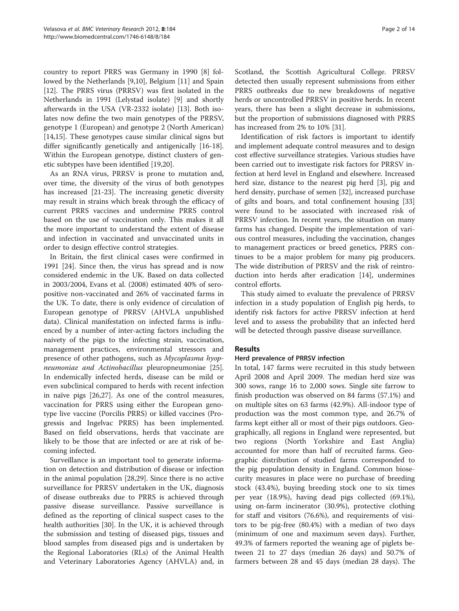country to report PRRS was Germany in 1990 [[8\]](#page-11-0) followed by the Netherlands [[9,10](#page-11-0)], Belgium [[11\]](#page-11-0) and Spain [[12\]](#page-11-0). The PRRS virus (PRRSV) was first isolated in the Netherlands in 1991 (Lelystad isolate) [\[9\]](#page-11-0) and shortly afterwards in the USA (VR-2332 isolate) [\[13](#page-11-0)]. Both isolates now define the two main genotypes of the PRRSV, genotype 1 (European) and genotype 2 (North American) [[14,](#page-11-0)[15\]](#page-12-0). These genotypes cause similar clinical signs but differ significantly genetically and antigenically [[16-18](#page-12-0)]. Within the European genotype, distinct clusters of genetic subtypes have been identified [[19,20\]](#page-12-0).

As an RNA virus, PRRSV is prone to mutation and, over time, the diversity of the virus of both genotypes has increased [[21](#page-12-0)-[23\]](#page-12-0). The increasing genetic diversity may result in strains which break through the efficacy of current PRRS vaccines and undermine PRRS control based on the use of vaccination only. This makes it all the more important to understand the extent of disease and infection in vaccinated and unvaccinated units in order to design effective control strategies.

In Britain, the first clinical cases were confirmed in 1991 [[24](#page-12-0)]. Since then, the virus has spread and is now considered endemic in the UK. Based on data collected in 2003/2004, Evans et al. (2008) estimated 40% of seropositive non-vaccinated and 26% of vaccinated farms in the UK. To date, there is only evidence of circulation of European genotype of PRRSV (AHVLA unpublished data). Clinical manifestation on infected farms is influenced by a number of inter-acting factors including the naivety of the pigs to the infecting strain, vaccination, management practices, environmental stressors and presence of other pathogens, such as Mycoplasma hyopneumoniae and Actinobacillus pleuropneumoniae [\[25](#page-12-0)]. In endemically infected herds, disease can be mild or even subclinical compared to herds with recent infection in naïve pigs [\[26,27\]](#page-12-0). As one of the control measures, vaccination for PRRS using either the European genotype live vaccine (Porcilis PRRS) or killed vaccines (Progressis and Ingelvac PRRS) has been implemented. Based on field observations, herds that vaccinate are likely to be those that are infected or are at risk of becoming infected.

Surveillance is an important tool to generate information on detection and distribution of disease or infection in the animal population [[28,29\]](#page-12-0). Since there is no active surveillance for PRRSV undertaken in the UK, diagnosis of disease outbreaks due to PRRS is achieved through passive disease surveillance. Passive surveillance is defined as the reporting of clinical suspect cases to the health authorities [[30\]](#page-12-0). In the UK, it is achieved through the submission and testing of diseased pigs, tissues and blood samples from diseased pigs and is undertaken by the Regional Laboratories (RLs) of the Animal Health and Veterinary Laboratories Agency (AHVLA) and, in Scotland, the Scottish Agricultural College. PRRSV detected then usually represent submissions from either PRRS outbreaks due to new breakdowns of negative herds or uncontrolled PRRSV in positive herds. In recent years, there has been a slight decrease in submissions, but the proportion of submissions diagnosed with PRRS has increased from 2% to 10% [\[31\]](#page-12-0).

Identification of risk factors is important to identify and implement adequate control measures and to design cost effective surveillance strategies. Various studies have been carried out to investigate risk factors for PRRSV infection at herd level in England and elsewhere. Increased herd size, distance to the nearest pig herd [\[3](#page-11-0)], pig and herd density, purchase of semen [[32\]](#page-12-0), increased purchase of gilts and boars, and total confinement housing [[33](#page-12-0)] were found to be associated with increased risk of PRRSV infection. In recent years, the situation on many farms has changed. Despite the implementation of various control measures, including the vaccination, changes to management practices or breed genetics, PRRS continues to be a major problem for many pig producers. The wide distribution of PRRSV and the risk of reintroduction into herds after eradication [\[14](#page-11-0)], undermines control efforts.

This study aimed to evaluate the prevalence of PRRSV infection in a study population of English pig herds, to identify risk factors for active PRRSV infection at herd level and to assess the probability that an infected herd will be detected through passive disease surveillance.

### Results

### Herd prevalence of PRRSV infection

In total, 147 farms were recruited in this study between April 2008 and April 2009. The median herd size was 300 sows, range 16 to 2,000 sows. Single site farrow to finish production was observed on 84 farms (57.1%) and on multiple sites on 63 farms (42.9%). All-indoor type of production was the most common type, and 26.7% of farms kept either all or most of their pigs outdoors. Geographically, all regions in England were represented, but two regions (North Yorkshire and East Anglia) accounted for more than half of recruited farms. Geographic distribution of studied farms corresponded to the pig population density in England. Common biosecurity measures in place were no purchase of breeding stock (43.4%), buying breeding stock one to six times per year (18.9%), having dead pigs collected (69.1%), using on-farm incinerator (30.9%), protective clothing for staff and visitors (76.6%), and requirements of visitors to be pig-free (80.4%) with a median of two days (minimum of one and maximum seven days). Further, 49.3% of farmers reported the weaning age of piglets between 21 to 27 days (median 26 days) and 50.7% of farmers between 28 and 45 days (median 28 days). The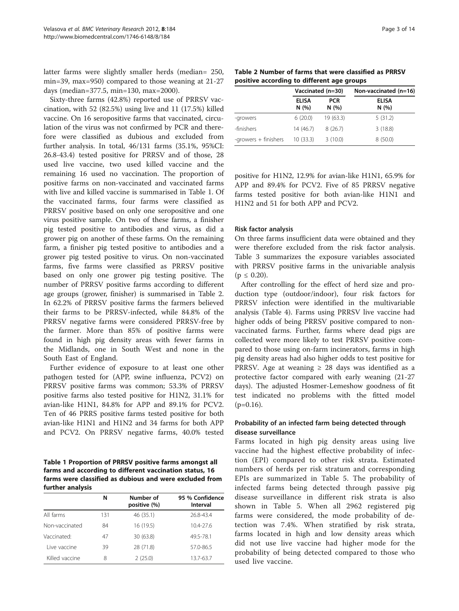<span id="page-2-0"></span>latter farms were slightly smaller herds (median= 250, min=39, max=950) compared to those weaning at 21-27 days (median=377.5, min=130, max=2000).

Sixty-three farms (42.8%) reported use of PRRSV vaccination, with 52 (82.5%) using live and 11 (17.5%) killed vaccine. On 16 seropositive farms that vaccinated, circulation of the virus was not confirmed by PCR and therefore were classified as dubious and excluded from further analysis. In total, 46/131 farms (35.1%, 95%CI: 26.8-43.4) tested positive for PRRSV and of those, 28 used live vaccine, two used killed vaccine and the remaining 16 used no vaccination. The proportion of positive farms on non-vaccinated and vaccinated farms with live and killed vaccine is summarised in Table 1. Of the vaccinated farms, four farms were classified as PRRSV positive based on only one seropositive and one virus positive sample. On two of these farms, a finisher pig tested positive to antibodies and virus, as did a grower pig on another of these farms. On the remaining farm, a finisher pig tested positive to antibodies and a grower pig tested positive to virus. On non-vaccinated farms, five farms were classified as PRRSV positive based on only one grower pig testing positive. The number of PRRSV positive farms according to different age groups (grower, finisher) is summarised in Table 2. In 62.2% of PRRSV positive farms the farmers believed their farms to be PRRSV-infected, while 84.8% of the PRRSV negative farms were considered PRRSV-free by the farmer. More than 85% of positive farms were found in high pig density areas with fewer farms in the Midlands, one in South West and none in the South East of England.

Further evidence of exposure to at least one other pathogen tested for (APP, swine influenza, PCV2) on PRRSV positive farms was common; 53.3% of PRRSV positive farms also tested positive for H1N2, 31.1% for avian-like H1N1, 84.8% for APP and 89.1% for PCV2. Ten of 46 PRRS positive farms tested positive for both avian-like H1N1 and H1N2 and 34 farms for both APP and PCV2. On PRRSV negative farms, 40.0% tested

Table 1 Proportion of PRRSV positive farms amongst all farms and according to different vaccination status, 16 farms were classified as dubious and were excluded from further analysis

|                | N   | Number of<br>positive (%) | 95 % Confidence<br>Interval |
|----------------|-----|---------------------------|-----------------------------|
| All farms      | 131 | 46 (35.1)                 | 26.8-43.4                   |
| Non-vaccinated | 84  | 16 (19.5)                 | 10.4-27.6                   |
| Vaccinated:    | 47  | 30 (63.8)                 | 49.5-78.1                   |
| Live vaccine   | 39  | 28 (71.8)                 | 57.0-86.5                   |
| Killed vaccine | 8   | 2(25.0)                   | 13.7-63.7                   |

Table 2 Number of farms that were classified as PRRSV positive according to different age groups

|                      | Vaccinated (n=30)    |                    | Non-vaccinated (n=16) |
|----------------------|----------------------|--------------------|-----------------------|
|                      | <b>ELISA</b><br>N(%) | <b>PCR</b><br>N(%) | <b>ELISA</b><br>N(%)  |
| -growers             | 6(20.0)              | 19 (63.3)          | 5(31.2)               |
| -finishers           | 14 (46.7)            | 8(26.7)            | 3(18.8)               |
| -growers + finishers | 10(33.3)             | 3(10.0)            | 8(50.0)               |

positive for H1N2, 12.9% for avian-like H1N1, 65.9% for APP and 89.4% for PCV2. Five of 85 PRRSV negative farms tested positive for both avian-like H1N1 and H1N2 and 51 for both APP and PCV2.

#### Risk factor analysis

On three farms insufficient data were obtained and they were therefore excluded from the risk factor analysis. Table [3](#page-3-0) summarizes the exposure variables associated with PRRSV positive farms in the univariable analysis  $(p \le 0.20)$ .

After controlling for the effect of herd size and production type (outdoor/indoor), four risk factors for PRRSV infection were identified in the multivariable analysis (Table [4](#page-4-0)). Farms using PRRSV live vaccine had higher odds of being PRRSV positive compared to nonvaccinated farms. Further, farms where dead pigs are collected were more likely to test PRRSV positive compared to those using on-farm incinerators, farms in high pig density areas had also higher odds to test positive for PRRSV. Age at weaning  $\geq$  28 days was identified as a protective factor compared with early weaning (21-27 days). The adjusted Hosmer-Lemeshow goodness of fit test indicated no problems with the fitted model  $(p=0.16)$ .

# Probability of an infected farm being detected through disease surveillance

Farms located in high pig density areas using live vaccine had the highest effective probability of infection (EPI) compared to other risk strata. Estimated numbers of herds per risk stratum and corresponding EPIs are summarized in Table [5](#page-5-0). The probability of infected farms being detected through passive pig disease surveillance in different risk strata is also shown in Table [5.](#page-5-0) When all 2962 registered pig farms were considered, the mode probability of detection was 7.4%. When stratified by risk strata, farms located in high and low density areas which did not use live vaccine had higher mode for the probability of being detected compared to those who used live vaccine.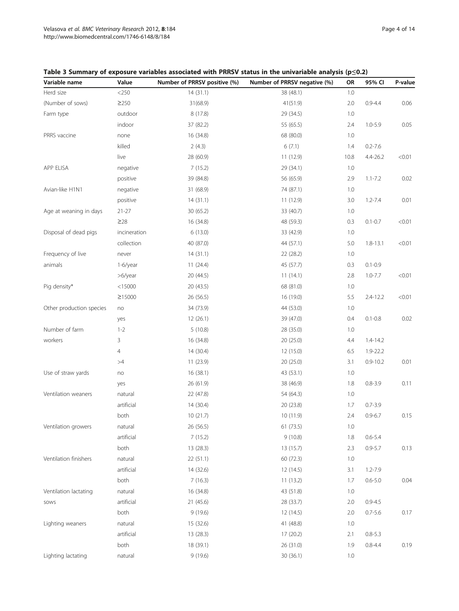| Variable name            | Value        | Number of PRRSV positive (%) | Number of PRRSV negative (%) | <b>OR</b> | 95% CI       | P-value |
|--------------------------|--------------|------------------------------|------------------------------|-----------|--------------|---------|
| Herd size                | $<$ 250 $\,$ | 14(31.1)                     | 38 (48.1)                    | 1.0       |              |         |
| (Number of sows)         | $\geq$ 250   | 31(68.9)                     | 41(51.9)                     | 2.0       | $0.9 - 4.4$  | 0.06    |
| Farm type                | outdoor      | 8 (17.8)                     | 29 (34.5)                    | 1.0       |              |         |
|                          | indoor       | 37 (82.2)                    | 55 (65.5)                    | 2.4       | $1.0 - 5.9$  | 0.05    |
| PRRS vaccine             | none         | 16 (34.8)                    | 68 (80.0)                    | 1.0       |              |         |
|                          | killed       | 2(4.3)                       | 6(7.1)                       | 1.4       | $0.2 - 7.6$  |         |
|                          | live         | 28 (60.9)                    | 11 (12.9)                    | 10.8      | $4.4 - 26.2$ | < 0.01  |
| APP ELISA                | negative     | 7(15.2)                      | 29 (34.1)                    | 1.0       |              |         |
|                          | positive     | 39 (84.8)                    | 56 (65.9)                    | 2.9       | $1.1 - 7.2$  | 0.02    |
| Avian-like H1N1          | negative     | 31 (68.9)                    | 74 (87.1)                    | 1.0       |              |         |
|                          | positive     | 14(31.1)                     | 11 (12.9)                    | 3.0       | $1.2 - 7.4$  | 0.01    |
| Age at weaning in days   | $21 - 27$    | 30 (65.2)                    | 33 (40.7)                    | 1.0       |              |         |
|                          | $\geq$ 28    | 16 (34.8)                    | 48 (59.3)                    | 0.3       | $0.1 - 0.7$  | < 0.01  |
| Disposal of dead pigs    | incineration | 6(13.0)                      | 33 (42.9)                    | 1.0       |              |         |
|                          | collection   | 40 (87.0)                    | 44 (57.1)                    | 5.0       | $1.8 - 13.1$ | < 0.01  |
| Frequency of live        | never        | 14(31.1)                     | 22 (28.2)                    | 1.0       |              |         |
| animals                  | 1-6/year     | 11(24.4)                     | 45 (57.7)                    | 0.3       | $0.1 - 0.9$  |         |
|                          | >6/year      | 20 (44.5)                    | 11(14.1)                     | 2.8       | $1.0 - 7.7$  | < 0.01  |
| Pig density*             | $<$ 15000    | 20 (43.5)                    | 68 (81.0)                    | 1.0       |              |         |
|                          | ≥15000       | 26 (56.5)                    | 16 (19.0)                    | 5.5       | $2.4 - 12.2$ | < 0.01  |
| Other production species | no           | 34 (73.9)                    | 44 (53.0)                    | 1.0       |              |         |
|                          | yes          | 12(26.1)                     | 39 (47.0)                    | 0.4       | $0.1 - 0.8$  | 0.02    |
| Number of farm           | $1 - 2$      | 5(10.8)                      | 28 (35.0)                    | 1.0       |              |         |
| workers                  | 3            | 16 (34.8)                    | 20 (25.0)                    | 4.4       | $1.4 - 14.2$ |         |
|                          | 4            | 14 (30.4)                    | 12 (15.0)                    | 6.5       | 1.9-22.2     |         |
|                          | >4           | 11 (23.9)                    | 20 (25.0)                    | 3.1       | $0.9 - 10.2$ | 0.01    |
| Use of straw yards       | no           | 16 (38.1)                    | 43 (53.1)                    | 1.0       |              |         |
|                          | yes          | 26 (61.9)                    | 38 (46.9)                    | 1.8       | $0.8 - 3.9$  | 0.11    |
| Ventilation weaners      | natural      | 22 (47.8)                    | 54 (64.3)                    | 1.0       |              |         |
|                          | artificial   | 14 (30.4)                    | 20 (23.8)                    | 1.7       | $0.7 - 3.9$  |         |
|                          | both         | 10(21.7)                     | 10 (11.9)                    | 2.4       | $0.9 - 6.7$  | 0.15    |
| Ventilation growers      | natural      | 26 (56.5)                    | 61 (73.5)                    | 1.0       |              |         |
|                          | artificial   | 7(15.2)                      | 9(10.8)                      | 1.8       | $0.6 - 5.4$  |         |
|                          | both         | 13 (28.3)                    | 13 (15.7)                    | 2.3       | $0.9 - 5.7$  | 0.13    |
| Ventilation finishers    | natural      | 22 (51.1)                    | 60 (72.3)                    | 1.0       |              |         |
|                          | artificial   | 14 (32.6)                    | 12 (14.5)                    | 3.1       | $1.2 - 7.9$  |         |
|                          | both         | 7(16.3)                      | 11(13.2)                     | 1.7       | $0.6 - 5.0$  | 0.04    |
| Ventilation lactating    | natural      | 16 (34.8)                    | 43 (51.8)                    | 1.0       |              |         |
| SOWS                     | artificial   | 21 (45.6)                    | 28 (33.7)                    | 2.0       | $0.9 - 4.5$  |         |
|                          | both         | 9(19.6)                      | 12 (14.5)                    | 2.0       | $0.7 - 5.6$  | 0.17    |
| Lighting weaners         | natural      | 15 (32.6)                    | 41 (48.8)                    | 1.0       |              |         |
|                          | artificial   | 13 (28.3)                    | 17 (20.2)                    | 2.1       | $0.8 - 5.3$  |         |
|                          | both         | 18 (39.1)                    | 26 (31.0)                    | 1.9       | $0.8 - 4.4$  | 0.19    |

Lighting lactating anatural 30 (36.1) 1.0

<span id="page-3-0"></span>Table 3 Summary of exposure variables associated with PRRSV status in the univariable analysis (p≤0.2)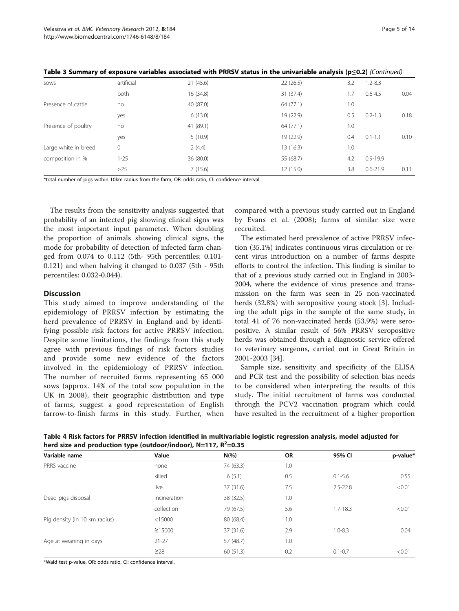| SOWS                 | artificial | 21(45.6)  | 22(26.5)  | 3.2 | $1.2 - 8.3$  |      |
|----------------------|------------|-----------|-----------|-----|--------------|------|
|                      | both       | 16 (34.8) | 31 (37.4) | 1.7 | $0.6 - 4.5$  | 0.04 |
| Presence of cattle   | no         | 40 (87.0) | 64 (77.1) | 1.0 |              |      |
|                      | yes        | 6(13.0)   | 19 (22.9) | 0.5 | $0.2 - 1.3$  | 0.18 |
| Presence of poultry  | no         | 41 (89.1) | 64 (77.1) | 1.0 |              |      |
|                      | yes        | 5(10.9)   | 19 (22.9) | 0.4 | $0.1 - 1.1$  | 0.10 |
| Large white in breed | 0          | 2(4.4)    | 13(16.3)  | 1.0 |              |      |
| composition in %     | $1 - 25$   | 36 (80.0) | 55 (68.7) | 4.2 | $0.9 - 19.9$ |      |
|                      | $>25$      | 7(15.6)   | 12(15.0)  | 3.8 | $0.6 - 21.9$ | 0.11 |
|                      |            |           |           |     |              |      |

<span id="page-4-0"></span>Table 3 Summary of exposure variables associated with PRRSV status in the univariable analysis (p≤0.2) (Continued)

\*total number of pigs within 10km radius from the farm, OR: odds ratio, CI: confidence interval.

The results from the sensitivity analysis suggested that probability of an infected pig showing clinical signs was the most important input parameter. When doubling the proportion of animals showing clinical signs, the mode for probability of detection of infected farm changed from 0.074 to 0.112 (5th- 95th percentiles: 0.101- 0.121) and when halving it changed to 0.037 (5th - 95th percentiles: 0.032-0.044).

#### **Discussion**

This study aimed to improve understanding of the epidemiology of PRRSV infection by estimating the herd prevalence of PRRSV in England and by identifying possible risk factors for active PRRSV infection. Despite some limitations, the findings from this study agree with previous findings of risk factors studies and provide some new evidence of the factors involved in the epidemiology of PRRSV infection. The number of recruited farms representing 65 000 sows (approx. 14% of the total sow population in the UK in 2008), their geographic distribution and type of farms, suggest a good representation of English farrow-to-finish farms in this study. Further, when

compared with a previous study carried out in England by Evans et al. (2008); farms of similar size were recruited.

The estimated herd prevalence of active PRRSV infection (35.1%) indicates continuous virus circulation or recent virus introduction on a number of farms despite efforts to control the infection. This finding is similar to that of a previous study carried out in England in 2003- 2004, where the evidence of virus presence and transmission on the farm was seen in 25 non-vaccinated herds (32.8%) with seropositive young stock [[3\]](#page-11-0). Including the adult pigs in the sample of the same study, in total 41 of 76 non-vaccinated herds (53.9%) were seropositive. A similar result of 56% PRRSV seropositive herds was obtained through a diagnostic service offered to veterinary surgeons, carried out in Great Britain in 2001-2003 [[34\]](#page-12-0).

Sample size, sensitivity and specificity of the ELISA and PCR test and the possibility of selection bias needs to be considered when interpreting the results of this study. The initial recruitment of farms was conducted through the PCV2 vaccination program which could have resulted in the recruitment of a higher proportion

|                                                                      | Table 4 Risk factors for PRRSV infection identified in multivariable logistic regression analysis, model adjusted for |  |  |
|----------------------------------------------------------------------|-----------------------------------------------------------------------------------------------------------------------|--|--|
| herd size and production type (outdoor/indoor), $N=117$ , $R^2=0.35$ |                                                                                                                       |  |  |

| Variable name                 | Value        | $N(\%)$   | OR  | 95% CI       | p-value* |
|-------------------------------|--------------|-----------|-----|--------------|----------|
| PRRS vaccine                  | none         | 74 (63.3) | 1.0 |              |          |
|                               | killed       | 6(5.1)    | 0.5 | $0.1 - 5.6$  | 0.55     |
|                               | live         | 37 (31.6) | 7.5 | $2.5 - 22.8$ | < 0.01   |
| Dead pigs disposal            | incineration | 38 (32.5) | 1.0 |              |          |
|                               | collection   | 79 (67.5) | 5.6 | $1.7 - 18.3$ | < 0.01   |
| Pig density (in 10 km radius) | < 15000      | 80 (68.4) | 1.0 |              |          |
|                               | $\geq 15000$ | 37 (31.6) | 2.9 | $1.0 - 8.3$  | 0.04     |
| Age at weaning in days        | $21 - 27$    | 57 (48.7) | 1.0 |              |          |
|                               | $\geq$ 28    | 60 (51.3) | 0.2 | $0.1 - 0.7$  | < 0.01   |

\*Wald test p-value, OR: odds ratio, CI: confidence interval.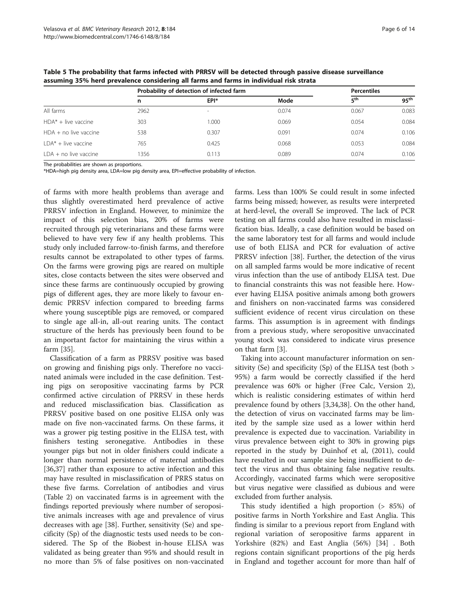|                        |      | Probability of detection of infected farm |       |                 | <b>Percentiles</b> |  |
|------------------------|------|-------------------------------------------|-------|-----------------|--------------------|--|
|                        | n    | EPI*                                      | Mode  | 5 <sup>th</sup> | $95^{\text{th}}$   |  |
| All farms              | 2962 |                                           | 0.074 | 0.067           | 0.083              |  |
| HDA* + live vaccine    | 303  | 1.000                                     | 0.069 | 0.054           | 0.084              |  |
| HDA + no live vaccine  | 538  | 0.307                                     | 0.091 | 0.074           | 0.106              |  |
| $LDA^* +$ live vaccine | 765  | 0.425                                     | 0.068 | 0.053           | 0.084              |  |
| LDA + no live vaccine  | 1356 | 0.113                                     | 0.089 | 0.074           | 0.106              |  |

<span id="page-5-0"></span>Table 5 The probability that farms infected with PRRSV will be detected through passive disease surveillance assuming 35% herd prevalence considering all farms and farms in individual risk strata

The probabilities are shown as proportions.

\*HDA=high pig density area, LDA=low pig density area, EPI=effective probability of infection.

of farms with more health problems than average and thus slightly overestimated herd prevalence of active PRRSV infection in England. However, to minimize the impact of this selection bias, 20% of farms were recruited through pig veterinarians and these farms were believed to have very few if any health problems. This study only included farrow-to-finish farms, and therefore results cannot be extrapolated to other types of farms. On the farms were growing pigs are reared on multiple sites, close contacts between the sites were observed and since these farms are continuously occupied by growing pigs of different ages, they are more likely to favour endemic PRRSV infection compared to breeding farms where young susceptible pigs are removed, or compared to single age all-in, all-out rearing units. The contact structure of the herds has previously been found to be an important factor for maintaining the virus within a farm [[35\]](#page-12-0).

Classification of a farm as PRRSV positive was based on growing and finishing pigs only. Therefore no vaccinated animals were included in the case definition. Testing pigs on seropositive vaccinating farms by PCR confirmed active circulation of PRRSV in these herds and reduced misclassification bias. Classification as PRRSV positive based on one positive ELISA only was made on five non-vaccinated farms. On these farms, it was a grower pig testing positive in the ELISA test, with finishers testing seronegative. Antibodies in these younger pigs but not in older finishers could indicate a longer than normal persistence of maternal antibodies [[36,37\]](#page-12-0) rather than exposure to active infection and this may have resulted in misclassification of PRRS status on these five farms. Correlation of antibodies and virus (Table [2\)](#page-2-0) on vaccinated farms is in agreement with the findings reported previously where number of seropositive animals increases with age and prevalence of virus decreases with age [\[38](#page-12-0)]. Further, sensitivity (Se) and specificity (Sp) of the diagnostic tests used needs to be considered. The Sp of the Biobest in-house ELISA was validated as being greater than 95% and should result in no more than 5% of false positives on non-vaccinated

farms. Less than 100% Se could result in some infected farms being missed; however, as results were interpreted at herd-level, the overall Se improved. The lack of PCR testing on all farms could also have resulted in misclassification bias. Ideally, a case definition would be based on the same laboratory test for all farms and would include use of both ELISA and PCR for evaluation of active PRRSV infection [[38\]](#page-12-0). Further, the detection of the virus on all sampled farms would be more indicative of recent virus infection than the use of antibody ELISA test. Due to financial constraints this was not feasible here. However having ELISA positive animals among both growers and finishers on non-vaccinated farms was considered sufficient evidence of recent virus circulation on these farms. This assumption is in agreement with findings from a previous study, where seropositive unvaccinated young stock was considered to indicate virus presence on that farm [\[3](#page-11-0)].

Taking into account manufacturer information on sensitivity (Se) and specificity (Sp) of the ELISA test (both > 95%) a farm would be correctly classified if the herd prevalence was 60% or higher (Free Calc, Version 2), which is realistic considering estimates of within herd prevalence found by others [\[3](#page-11-0)[,34,38](#page-12-0)]. On the other hand, the detection of virus on vaccinated farms may be limited by the sample size used as a lower within herd prevalence is expected due to vaccination. Variability in virus prevalence between eight to 30% in growing pigs reported in the study by Duinhof et al, (2011), could have resulted in our sample size being insufficient to detect the virus and thus obtaining false negative results. Accordingly, vaccinated farms which were seropositive but virus negative were classified as dubious and were excluded from further analysis.

This study identified a high proportion (> 85%) of positive farms in North Yorkshire and East Anglia. This finding is similar to a previous report from England with regional variation of seropositive farms apparent in Yorkshire (82%) and East Anglia (56%) [\[34\]](#page-12-0) . Both regions contain significant proportions of the pig herds in England and together account for more than half of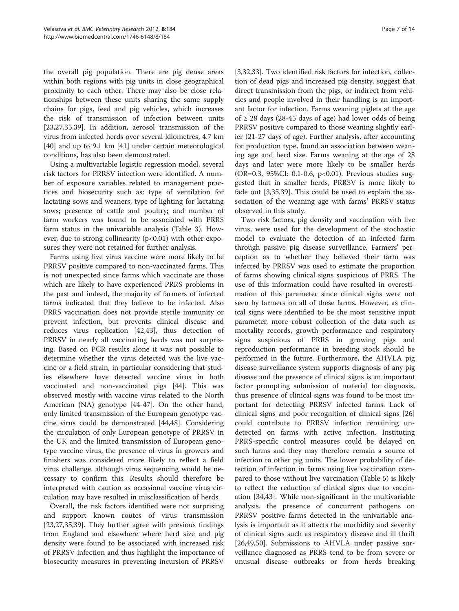the overall pig population. There are pig dense areas within both regions with pig units in close geographical proximity to each other. There may also be close relationships between these units sharing the same supply chains for pigs, feed and pig vehicles, which increases the risk of transmission of infection between units [[23,27,35,39\]](#page-12-0). In addition, aerosol transmission of the virus from infected herds over several kilometres, 4.7 km [[40\]](#page-12-0) and up to 9.1 km [\[41\]](#page-12-0) under certain meteorological conditions, has also been demonstrated.

Using a multivariable logistic regression model, several risk factors for PRRSV infection were identified. A number of exposure variables related to management practices and biosecurity such as: type of ventilation for lactating sows and weaners; type of lighting for lactating sows; presence of cattle and poultry; and number of farm workers was found to be associated with PRRS farm status in the univariable analysis (Table [3\)](#page-3-0). However, due to strong collinearity  $(p<0.01)$  with other exposures they were not retained for further analysis.

Farms using live virus vaccine were more likely to be PRRSV positive compared to non-vaccinated farms. This is not unexpected since farms which vaccinate are those which are likely to have experienced PRRS problems in the past and indeed, the majority of farmers of infected farms indicated that they believe to be infected. Also PRRS vaccination does not provide sterile immunity or prevent infection, but prevents clinical disease and reduces virus replication [\[42,43\]](#page-12-0), thus detection of PRRSV in nearly all vaccinating herds was not surprising. Based on PCR results alone it was not possible to determine whether the virus detected was the live vaccine or a field strain, in particular considering that studies elsewhere have detected vaccine virus in both vaccinated and non-vaccinated pigs [[44\]](#page-12-0). This was observed mostly with vaccine virus related to the North American (NA) genotype [\[44-47](#page-12-0)]. On the other hand, only limited transmission of the European genotype vaccine virus could be demonstrated [\[44,48\]](#page-12-0). Considering the circulation of only European genotype of PRRSV in the UK and the limited transmission of European genotype vaccine virus, the presence of virus in growers and finishers was considered more likely to reflect a field virus challenge, although virus sequencing would be necessary to confirm this. Results should therefore be interpreted with caution as occasional vaccine virus circulation may have resulted in misclassification of herds.

Overall, the risk factors identified were not surprising and support known routes of virus transmission [[23,27,35,39\]](#page-12-0). They further agree with previous findings from England and elsewhere where herd size and pig density were found to be associated with increased risk of PRRSV infection and thus highlight the importance of biosecurity measures in preventing incursion of PRRSV

[[3,](#page-11-0)[32,33\]](#page-12-0). Two identified risk factors for infection, collection of dead pigs and increased pig density, suggest that direct transmission from the pigs, or indirect from vehicles and people involved in their handling is an important factor for infection. Farms weaning piglets at the age of ≥ 28 days (28-45 days of age) had lower odds of being PRRSV positive compared to those weaning slightly earlier (21-27 days of age). Further analysis, after accounting for production type, found an association between weaning age and herd size. Farms weaning at the age of 28 days and later were more likely to be smaller herds (OR=0.3, 95%CI: 0.1-0.6, p<0.01). Previous studies suggested that in smaller herds, PRRSV is more likely to fade out [\[3](#page-11-0)[,35,39](#page-12-0)]. This could be used to explain the association of the weaning age with farms' PRRSV status observed in this study.

Two risk factors, pig density and vaccination with live virus, were used for the development of the stochastic model to evaluate the detection of an infected farm through passive pig disease surveillance. Farmers' perception as to whether they believed their farm was infected by PRRSV was used to estimate the proportion of farms showing clinical signs suspicious of PRRS. The use of this information could have resulted in overestimation of this parameter since clinical signs were not seen by farmers on all of these farms. However, as clinical signs were identified to be the most sensitive input parameter, more robust collection of the data such as mortality records, growth performance and respiratory signs suspicious of PRRS in growing pigs and reproduction performance in breeding stock should be performed in the future. Furthermore, the AHVLA pig disease surveillance system supports diagnosis of any pig disease and the presence of clinical signs is an important factor prompting submission of material for diagnosis, thus presence of clinical signs was found to be most important for detecting PRRSV infected farms. Lack of clinical signs and poor recognition of clinical signs [[26](#page-12-0)] could contribute to PRRSV infection remaining undetected on farms with active infection. Instituting PRRS-specific control measures could be delayed on such farms and they may therefore remain a source of infection to other pig units. The lower probability of detection of infection in farms using live vaccination compared to those without live vaccination (Table [5\)](#page-5-0) is likely to reflect the reduction of clinical signs due to vaccination [\[34,43](#page-12-0)]. While non-significant in the multivariable analysis, the presence of concurrent pathogens on PRRSV positive farms detected in the univariable analysis is important as it affects the morbidity and severity of clinical signs such as respiratory disease and ill thrift [[26,49,50\]](#page-12-0). Submissions to AHVLA under passive surveillance diagnosed as PRRS tend to be from severe or unusual disease outbreaks or from herds breaking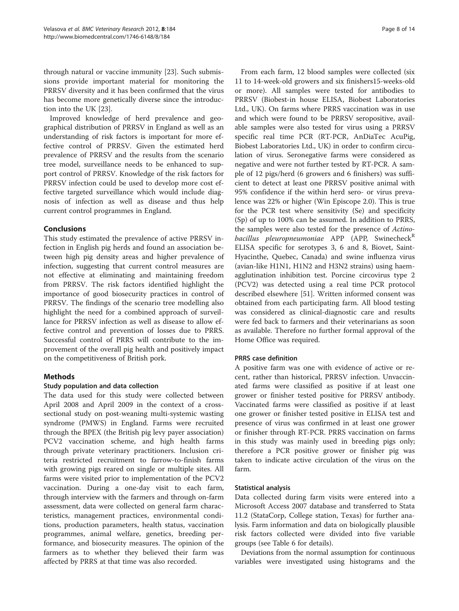through natural or vaccine immunity [[23](#page-12-0)]. Such submissions provide important material for monitoring the PRRSV diversity and it has been confirmed that the virus has become more genetically diverse since the introduction into the UK [[23\]](#page-12-0).

Improved knowledge of herd prevalence and geographical distribution of PRRSV in England as well as an understanding of risk factors is important for more effective control of PRRSV. Given the estimated herd prevalence of PRRSV and the results from the scenario tree model, surveillance needs to be enhanced to support control of PRRSV. Knowledge of the risk factors for PRRSV infection could be used to develop more cost effective targeted surveillance which would include diagnosis of infection as well as disease and thus help current control programmes in England.

### Conclusions

This study estimated the prevalence of active PRRSV infection in English pig herds and found an association between high pig density areas and higher prevalence of infection, suggesting that current control measures are not effective at eliminating and maintaining freedom from PRRSV. The risk factors identified highlight the importance of good biosecurity practices in control of PRRSV. The findings of the scenario tree modelling also highlight the need for a combined approach of surveillance for PRRSV infection as well as disease to allow effective control and prevention of losses due to PRRS. Successful control of PRRS will contribute to the improvement of the overall pig health and positively impact on the competitiveness of British pork.

# Methods

### Study population and data collection

The data used for this study were collected between April 2008 and April 2009 in the context of a crosssectional study on post-weaning multi-systemic wasting syndrome (PMWS) in England. Farms were recruited through the BPEX (the British pig levy payer association) PCV2 vaccination scheme, and high health farms through private veterinary practitioners. Inclusion criteria restricted recruitment to farrow-to-finish farms with growing pigs reared on single or multiple sites. All farms were visited prior to implementation of the PCV2 vaccination. During a one-day visit to each farm, through interview with the farmers and through on-farm assessment, data were collected on general farm characteristics, management practices, environmental conditions, production parameters, health status, vaccination programmes, animal welfare, genetics, breeding performance, and biosecurity measures. The opinion of the farmers as to whether they believed their farm was affected by PRRS at that time was also recorded.

From each farm, 12 blood samples were collected (six 11 to 14-week-old growers and six finishers15-weeks-old or more). All samples were tested for antibodies to PRRSV (Biobest-in house ELISA, Biobest Laboratories Ltd., UK). On farms where PRRS vaccination was in use and which were found to be PRRSV seropositive, available samples were also tested for virus using a PRRSV specific real time PCR (RT-PCR, AnDiaTec AcuPig, Biobest Laboratories Ltd., UK) in order to confirm circulation of virus. Seronegative farms were considered as negative and were not further tested by RT-PCR. A sample of 12 pigs/herd (6 growers and 6 finishers) was sufficient to detect at least one PRRSV positive animal with 95% confidence if the within herd sero- or virus prevalence was 22% or higher (Win Episcope 2.0). This is true for the PCR test where sensitivity (Se) and specificity (Sp) of up to 100% can be assumed. In addition to PRRS, the samples were also tested for the presence of Actinobacillus pleuropneumoniae  $APP$  (APP, Swinecheck<sup>R</sup> ELISA specific for serotypes 3, 6 and 8, Biovet, Saint-Hyacinthe, Quebec, Canada) and swine influenza virus (avian-like H1N1, H1N2 and H3N2 strains) using haemagglutination inhibition test. Porcine circovirus type 2 (PCV2) was detected using a real time PCR protocol described elsewhere [\[51](#page-12-0)]. Written informed consent was obtained from each participating farm. All blood testing was considered as clinical-diagnostic care and results were fed back to farmers and their veterinarians as soon as available. Therefore no further formal approval of the Home Office was required.

### PRRS case definition

A positive farm was one with evidence of active or recent, rather than historical, PRRSV infection. Unvaccinated farms were classified as positive if at least one grower or finisher tested positive for PRRSV antibody. Vaccinated farms were classified as positive if at least one grower or finisher tested positive in ELISA test and presence of virus was confirmed in at least one grower or finisher through RT-PCR. PRRS vaccination on farms in this study was mainly used in breeding pigs only; therefore a PCR positive grower or finisher pig was taken to indicate active circulation of the virus on the farm.

### Statistical analysis

Data collected during farm visits were entered into a Microsoft Access 2007 database and transferred to Stata 11.2 (StataCorp, College station, Texas) for further analysis. Farm information and data on biologically plausible risk factors collected were divided into five variable groups (see Table [6](#page-8-0) for details).

Deviations from the normal assumption for continuous variables were investigated using histograms and the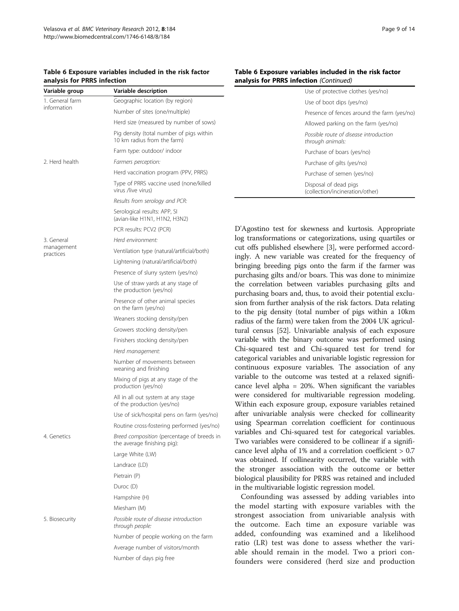#### <span id="page-8-0"></span>Table 6 Exposure variables included in the risk factor analysis for PRRS infection

| Variable group          | Variable description                                                      |
|-------------------------|---------------------------------------------------------------------------|
| 1. General farm         | Geographic location (by region)                                           |
| information             | Number of sites (one/multiple)                                            |
|                         | Herd size (measured by number of sows)                                    |
|                         | Pig density (total number of pigs within<br>10 km radius from the farm)   |
|                         | Farm type: outdoor/ indoor                                                |
| 2. Herd health          | Farmers perception:                                                       |
|                         | Herd vaccination program (PPV, PRRS)                                      |
|                         | Type of PRRS vaccine used (none/killed<br>virus /live virus)              |
|                         | Results from serology and PCR:                                            |
|                         | Serological results: APP, SI<br>(avian-like H1N1, H1N2, H3N2)             |
|                         | PCR results: PCV2 (PCR)                                                   |
| 3. General              | Herd environment:                                                         |
| management<br>practices | Ventilation type (natural/artificial/both)                                |
|                         | Lightening (natural/artificial/both)                                      |
|                         | Presence of slurry system (yes/no)                                        |
|                         | Use of straw yards at any stage of<br>the production (yes/no)             |
|                         | Presence of other animal species<br>on the farm (yes/no)                  |
|                         | Weaners stocking density/pen                                              |
|                         | Growers stocking density/pen                                              |
|                         | Finishers stocking density/pen                                            |
|                         | Herd management:                                                          |
|                         | Number of movements between<br>weaning and finishing                      |
|                         | Mixing of pigs at any stage of the<br>production (yes/no)                 |
|                         | All in all out system at any stage<br>of the production (yes/no)          |
|                         | Use of sick/hospital pens on farm (yes/no)                                |
|                         | Routine cross-fostering performed (yes/no)                                |
| 4. Genetics             | Breed composition (percentage of breeds in<br>the average finishing pig): |
|                         | Large White (LW)                                                          |
|                         | Landrace (LD)                                                             |
|                         | Pietrain (P)                                                              |
|                         | Duroc (D)                                                                 |
|                         | Hampshire (H)                                                             |
|                         | Miesham (M)                                                               |
| 5. Biosecurity          | Possible route of disease introduction<br>through people:                 |
|                         | Number of people working on the farm                                      |
|                         | Average number of visitors/month                                          |
|                         | Number of days pig free                                                   |

#### Table 6 Exposure variables included in the risk factor analysis for PRRS infection (Continued)

| Use of protective clothes (yes/no)                         |
|------------------------------------------------------------|
| Use of boot dips (yes/no)                                  |
| Presence of fences around the farm (yes/no)                |
| Allowed parking on the farm (yes/no)                       |
| Possible route of disease introduction<br>through animals: |
| Purchase of boars (yes/no)                                 |
| Purchase of gilts (yes/no)                                 |
| Purchase of semen (yes/no)                                 |
| Disposal of dead pigs<br>(collection/incineration/other)   |

D'Agostino test for skewness and kurtosis. Appropriate log transformations or categorizations, using quartiles or cut offs published elsewhere [[3](#page-11-0)], were performed accordingly. A new variable was created for the frequency of bringing breeding pigs onto the farm if the farmer was purchasing gilts and/or boars. This was done to minimize the correlation between variables purchasing gilts and purchasing boars and, thus, to avoid their potential exclusion from further analysis of the risk factors. Data relating to the pig density (total number of pigs within a 10km radius of the farm) were taken from the 2004 UK agricultural census [\[52\]](#page-12-0). Univariable analysis of each exposure variable with the binary outcome was performed using Chi-squared test and Chi-squared test for trend for categorical variables and univariable logistic regression for continuous exposure variables. The association of any variable to the outcome was tested at a relaxed significance level alpha = 20%. When significant the variables were considered for multivariable regression modeling. Within each exposure group, exposure variables retained after univariable analysis were checked for collinearity using Spearman correlation coefficient for continuous variables and Chi-squared test for categorical variables. Two variables were considered to be collinear if a significance level alpha of 1% and a correlation coefficient > 0.7 was obtained. If collinearity occurred, the variable with the stronger association with the outcome or better biological plausibility for PRRS was retained and included in the multivariable logistic regression model.

Confounding was assessed by adding variables into the model starting with exposure variables with the strongest association from univariable analysis with the outcome. Each time an exposure variable was added, confounding was examined and a likelihood ratio (LR) test was done to assess whether the variable should remain in the model. Two a priori confounders were considered (herd size and production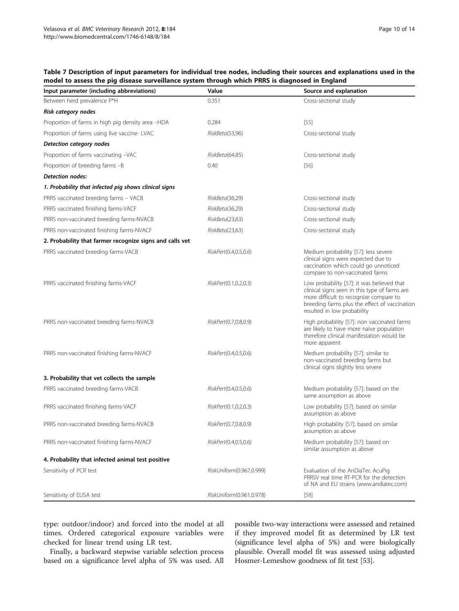| Input parameter (including abbreviations)                | Value                    | Source and explanation                                                                                                                                                                                                |
|----------------------------------------------------------|--------------------------|-----------------------------------------------------------------------------------------------------------------------------------------------------------------------------------------------------------------------|
| Between herd prevalence P*H                              | 0.351                    | Cross-sectional study                                                                                                                                                                                                 |
| Risk category nodes                                      |                          |                                                                                                                                                                                                                       |
| Proportion of farms in high pig density area -HDA        | 0.284                    | $[55]$                                                                                                                                                                                                                |
| Proportion of farms using live vaccine- LVAC             | RiskBeta(53,96)          | Cross-sectional study                                                                                                                                                                                                 |
| Detection category nodes                                 |                          |                                                                                                                                                                                                                       |
| Proportion of farms vaccinating -VAC                     | RiskBeta(64,85)          | Cross-sectional study                                                                                                                                                                                                 |
| Proportion of breeding farms -B                          | 0.40                     | $[56]$                                                                                                                                                                                                                |
| Detection nodes:                                         |                          |                                                                                                                                                                                                                       |
| 1. Probability that infected pig shows clinical signs    |                          |                                                                                                                                                                                                                       |
| PRRS vaccinated breeding farms - VACB                    | RiskBeta(36,29)          | Cross-sectional study                                                                                                                                                                                                 |
| PRRS vaccinated finishing farms-VACF                     | RiskBeta(36,29)          | Cross-sectional study                                                                                                                                                                                                 |
| PRRS non-vaccinated breeding farms-NVACB                 | RiskBeta(23,63)          | Cross-sectional study                                                                                                                                                                                                 |
| PRRS non-vaccinated finishing farms-NVACF                | RiskBeta(23,63)          | Cross-sectional study                                                                                                                                                                                                 |
| 2. Probability that farmer recognize signs and calls vet |                          |                                                                                                                                                                                                                       |
| PRRS vaccinated breeding farms-VACB                      | RiskPert(0.4,0.5,0.6)    | Medium probability [57]: less severe<br>clinical signs were expected due to<br>vaccination which could go unnoticed<br>compare to non-vaccinated farms                                                                |
| PRRS vaccinated finishing farms-VACF                     | RiskPert(0.1,0.2,0.3)    | Low probability [57]: it was believed that<br>clinical signs seen in this type of farms are<br>more difficult to recognize compare to<br>breeding farms plus the effect of vaccination<br>resulted in low probability |
| PRRS non-vaccinated breeding farms-NVACB                 | RiskPert(0.7,0.8,0.9)    | High probability [57]: non vaccinated farms<br>are likely to have more naïve population<br>therefore clinical manifestation would be<br>more apparent                                                                 |
| PRRS non-vaccinated finishing farms-NVACF                | RiskPert(0.4,0.5,0.6)    | Medium probability [57]: similar to<br>non-vaccinated breeding farms but<br>clinical signs slightly less severe                                                                                                       |
| 3. Probability that vet collects the sample              |                          |                                                                                                                                                                                                                       |
| PRRS vaccinated breeding farms-VACB                      | RiskPert(0.4,0.5,0.6)    | Medium probability [57]: based on the<br>same assumption as above                                                                                                                                                     |
| PRRS vaccinated finishing farms-VACF                     | RiskPert(0.1,0.2,0.3)    | Low probability [57]: based on similar<br>assumption as above                                                                                                                                                         |
| PRRS non-vaccinated breeding farms-NVACB                 | RiskPert(0.7,0.8,0.9)    | High probability [57]: based on similar<br>assumption as above                                                                                                                                                        |
| PRRS non-vaccinated finishing farms-NVACF                | RiskPert(0.4,0.5,0.6)    | Medium probability [57]: based on<br>similar assumption as above                                                                                                                                                      |
| 4. Probability that infected animal test positive        |                          |                                                                                                                                                                                                                       |
| Sensitivity of PCR test                                  | RiskUniform(0.967,0.999) | Evaluation of the AnDiaTec AcuPig<br>PRRSV real time RT-PCR for the detection<br>of NA and EU strains (www.andiatec.com)                                                                                              |
| Sensitivity of ELISA test                                | RiskUniform(0.961,0.978) | $[58]$                                                                                                                                                                                                                |

#### <span id="page-9-0"></span>Table 7 Description of input parameters for individual tree nodes, including their sources and explanations used in the model to assess the pig disease surveillance system through which PRRS is diagnosed in England

type: outdoor/indoor) and forced into the model at all times. Ordered categorical exposure variables were checked for linear trend using LR test.

Finally, a backward stepwise variable selection process based on a significance level alpha of 5% was used. All

possible two-way interactions were assessed and retained if they improved model fit as determined by LR test (significance level alpha of 5%) and were biologically plausible. Overall model fit was assessed using adjusted Hosmer-Lemeshow goodness of fit test [[53\]](#page-12-0).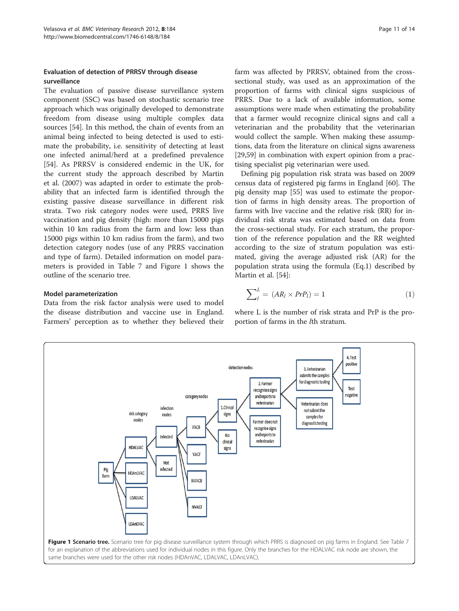# Evaluation of detection of PRRSV through disease surveillance

The evaluation of passive disease surveillance system component (SSC) was based on stochastic scenario tree approach which was originally developed to demonstrate freedom from disease using multiple complex data sources [\[54](#page-12-0)]. In this method, the chain of events from an animal being infected to being detected is used to estimate the probability, i.e. sensitivity of detecting at least one infected animal/herd at a predefined prevalence [[54\]](#page-12-0). As PRRSV is considered endemic in the UK, for the current study the approach described by Martin et al. (2007) was adapted in order to estimate the probability that an infected farm is identified through the existing passive disease surveillance in different risk strata. Two risk category nodes were used, PRRS live vaccination and pig density (high: more than 15000 pigs within 10 km radius from the farm and low: less than 15000 pigs within 10 km radius from the farm), and two detection category nodes (use of any PRRS vaccination and type of farm). Detailed information on model parameters is provided in Table [7](#page-9-0) and Figure 1 shows the outline of the scenario tree.

#### Model parameterization

Data from the risk factor analysis were used to model the disease distribution and vaccine use in England. Farmers' perception as to whether they believed their farm was affected by PRRSV, obtained from the crosssectional study, was used as an approximation of the proportion of farms with clinical signs suspicious of PRRS. Due to a lack of available information, some assumptions were made when estimating the probability that a farmer would recognize clinical signs and call a veterinarian and the probability that the veterinarian would collect the sample. When making these assumptions, data from the literature on clinical signs awareness [[29,](#page-12-0)[59\]](#page-13-0) in combination with expert opinion from a practising specialist pig veterinarian were used.

Defining pig population risk strata was based on 2009 census data of registered pig farms in England [[60\]](#page-13-0). The pig density map [[55\]](#page-12-0) was used to estimate the proportion of farms in high density areas. The proportion of farms with live vaccine and the relative risk (RR) for individual risk strata was estimated based on data from the cross-sectional study. For each stratum, the proportion of the reference population and the RR weighted according to the size of stratum population was estimated, giving the average adjusted risk (AR) for the population strata using the formula (Eq.1) described by Martin et al. [[54\]](#page-12-0):

$$
\sum_{l}^{L} = (AR_l \times PrP_l) = 1 \tag{1}
$$

where L is the number of risk strata and PrP is the proportion of farms in the lth stratum.

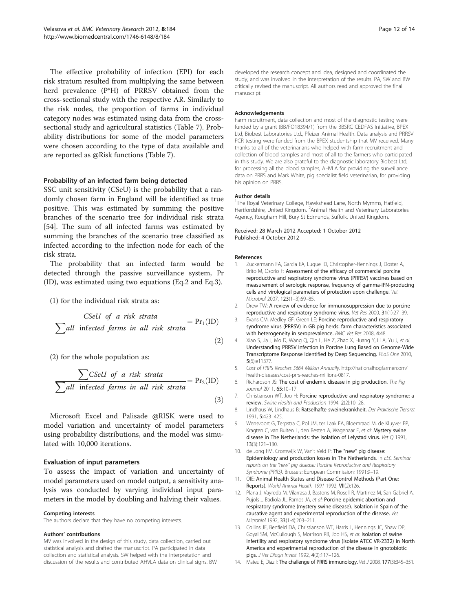<span id="page-11-0"></span>The effective probability of infection (EPI) for each risk stratum resulted from multiplying the same between herd prevalence (P\*H) of PRRSV obtained from the cross-sectional study with the respective AR. Similarly to the risk nodes, the proportion of farms in individual category nodes was estimated using data from the crosssectional study and agricultural statistics (Table [7](#page-9-0)). Probability distributions for some of the model parameters were chosen according to the type of data available and are reported as @Risk functions (Table [7\)](#page-9-0).

#### Probability of an infected farm being detected

SSC unit sensitivity (CSeU) is the probability that a randomly chosen farm in England will be identified as true positive. This was estimated by summing the positive branches of the scenario tree for individual risk strata [[54\]](#page-12-0). The sum of all infected farms was estimated by summing the branches of the scenario tree classified as infected according to the infection node for each of the risk strata.

The probability that an infected farm would be detected through the passive surveillance system, Pr (ID), was estimated using two equations (Eq.2 and Eq.3).

(1) for the individual risk strata as:

\n
$$
\sum \text{cell of a risk strata}
$$
\n $\sum \text{all infected farms in all risk strata}$ \n $= \Pr_1(\text{ID})$ \n

\n\n (2)\n

(2) for the whole population as:

$$
\frac{\sum \text{CSeU of a risk strata}}{\sum \text{all infected farms in all risk strata}} = \Pr_2(ID)
$$
\n(3)

Microsoft Excel and Palisade @RISK were used to model variation and uncertainty of model parameters using probability distributions, and the model was simulated with 10,000 iterations.

#### Evaluation of input parameters

To assess the impact of variation and uncertainty of model parameters used on model output, a sensitivity analysis was conducted by varying individual input parameters in the model by doubling and halving their values.

#### Competing interests

The authors declare that they have no competing interests.

#### Authors' contributions

MV was involved in the design of this study, data collection, carried out statistical analysis and drafted the manuscript. PA participated in data collection and statistical analysis. SW helped with the interpretation and discussion of the results and contributed AHVLA data on clinical signs. BW developed the research concept and idea, designed and coordinated the study, and was involved in the interpretation of the results. PA, SW and BW critically revised the manuscript. All authors read and approved the final manuscript.

#### Acknowledgements

Farm recruitment, data collection and most of the diagnostic testing were funded by a grant (BB/FO18394/1) from the BBSRC CEDFAS Initiative, BPEX Ltd, Biobest Laboratories Ltd., Pfeizer Animal Health. Data analysis and PRRSV PCR testing were funded from the BPEX studentship that MV received. Many thanks to all of the veterinarians who helped with farm recruitment and collection of blood samples and most of all to the farmers who participated in this study. We are also grateful to the diagnostic laboratory Biobest Ltd, for processing all the blood samples, AHVLA for providing the surveillance data on PRRS and Mark White, pig specialist field veterinarian, for providing his opinion on PRRS.

#### Author details

<sup>1</sup>The Royal Veterinary College, Hawkshead Lane, North Mymms, Hatfield, Hertfordshire, United Kingdom. <sup>2</sup> Animal Health and Veterinary Laboratories Agency, Rougham Hill, Bury St Edmunds, Suffolk, United Kingdom.

Received: 28 March 2012 Accepted: 1 October 2012 Published: 4 October 2012

#### References

- 1. Zuckermann FA, Garcia EA, Luque ID, Christopher-Hennings J, Doster A, Brito M, Osorio F: Assessment of the efficacy of commercial porcine reproductive and respiratory syndrome virus (PRRSV) vaccines based on measurement of serologic response, frequency of gamma-IFN-producing cells and virological parameters of protection upon challenge. Vet Microbiol 2007, 123(1–3):69–85.
- 2. Drew TW: A review of evidence for immunosuppression due to porcine reproductive and respiratory syndrome virus. Vet Res 2000, 31(1):27–39.
- 3. Evans CM, Medley GF, Green LE: Porcine reproductive and respiratory syndrome virus (PRRSV) in GB pig herds: farm characteristics associated with heterogeneity in seroprevalence. BMC Vet Res 2008, 4:48.
- 4. Xiao S, Jia J, Mo D, Wang Q, Qin L, He Z, Zhao X, Huang Y, Li A, Yu J, et al: Understanding PRRSV Infection in Porcine Lung Based on Genome-Wide Transcriptome Response Identified by Deep Sequencing. PLoS One 2010, 5(6):e11377.
- 5. Cost of PRRS Reaches \$664 Million Annually. [http://nationalhogfarmercom/](http://nationalhogfarmercom/health-diseases/cost-prrs-reaches-millions-0817) [health-diseases/cost-prrs-reaches-millions-0817.](http://nationalhogfarmercom/health-diseases/cost-prrs-reaches-millions-0817)
- 6. Richardson JS: The cost of endemic disease in pig production. The Pig Journal 2011, 65:10–17.
- 7. Christianson WT, Joo H: Porcine reproductive and respiratory syndrome: a review. Swine Health and Production 1994, 2(2):10–28.
- Lindhaus W, Lindhaus B: Ratselhafte sweinekrankheit. Der Praktische Tierarzt 1991, 5:423–425.
- 9. Wensvoort G, Terpstra C, Pol JM, ter Laak EA, Bloemraad M, de Kluyver EP, Kragten C, van Buiten L, den Besten A, Wagenaar F, et al: Mystery swine disease in The Netherlands: the isolation of Lelystad virus. Vet Q 1991, 13(3):121–130.
- 10. de Jong FM, Cromwijk W, Van't Veld P: The "new" pig disease: Epidemiology and production losses in The Netherlands. In EEC Seminar reports on the "new" pig disease: Porcine Reproductive and Respiratory Syndrome (PRRS). Brussels: European Commission; 1991:9–19.
- 11. OIE: Animal Health Status and Disease Control Methods (Part One: Reports). World Animal Health 1991 1992, VII(2):126.
- 12. Plana J, Vayreda M, Vilarrasa J, Bastons M, Rosell R, Martinez M, San Gabriel A, Pujols J, Badiola JL, Ramos JA, et al: Porcine epidemic abortion and respiratory syndrome (mystery swine disease). Isolation in Spain of the causative agent and experimental reproduction of the disease. Vet Microbiol 1992, 33(1-4):203-211.
- 13. Collins JE, Benfield DA, Christianson WT, Harris L, Hennings JC, Shaw DP, Goyal SM, McCullough S, Morrison RB, Joo HS, et al: Isolation of swine infertility and respiratory syndrome virus (isolate ATCC VR-2332) in North America and experimental reproduction of the disease in gnotobiotic pigs. J Vet Diagn Invest 1992, 4(2):117–126.
- 14. Mateu E, Diaz I: The challenge of PRRS immunology. Vet J 2008, 177(3):345-351.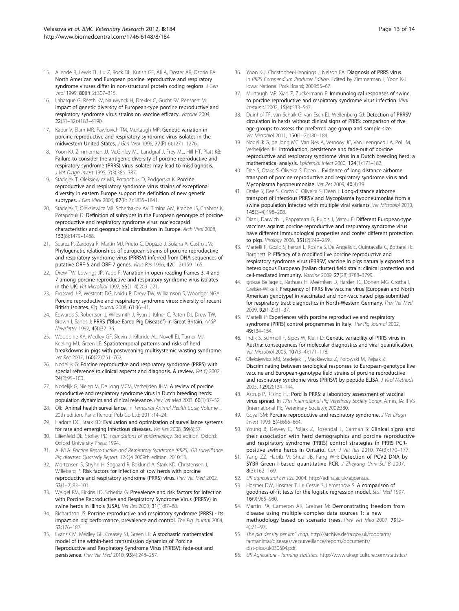- <span id="page-12-0"></span>15. Allende R, Lewis TL, Lu Z, Rock DL, Kutish GF, Ali A, Doster AR, Osorio FA: North American and European porcine reproductive and respiratory syndrome viruses differ in non-structural protein coding regions. J Gen Virol 1999, 80(Pt 2):307–315.
- 16. Labarque G, Reeth KV, Nauwynck H, Drexler C, Gucht SV, Pensaert M: Impact of genetic diversity of European-type porcine reproductive and respiratory syndrome virus strains on vaccine efficacy. Vaccine 2004, 22(31–32):4183–4190.
- 17. Kapur V, Elam MR, Pawlovich TM, Murtaugh MP: Genetic variation in porcine reproductive and respiratory syndrome virus isolates in the midwestern United States. J Gen Virol 1996, 77(Pt 6):1271–1276.
- 18. Yoon KJ, Zimmerman JJ, McGinley MJ, Landgraf J, Frey ML, Hill HT, Platt KB: Failure to consider the antigenic diversity of porcine reproductive and respiratory syndrome (PRRS) virus isolates may lead to misdiagnosis. J Vet Diagn Invest 1995, 7(3):386–387.
- 19. Stadejek T, Oleksiewicz MB, Potapchuk D, Podgorska K: Porcine reproductive and respiratory syndrome virus strains of exceptional diversity in eastern Europe support the definition of new genetic subtypes. J Gen Virol 2006, 87(Pt 7):1835–1841.
- 20. Stadejek T, Oleksiewicz MB, Scherbakov AV, Timina AM, Krabbe JS, Chabros K, Potapchuk D: Definition of subtypes in the European genotype of porcine reproductive and respiratory syndrome virus: nucleocapsid characteristics and geographical distribution in Europe. Arch Virol 2008, 153(8):1479–1488.
- 21. Suarez P, Zardoya R, Martin MJ, Prieto C, Dopazo J, Solana A, Castro JM: Phylogenetic relationships of european strains of porcine reproductive and respiratory syndrome virus (PRRSV) inferred from DNA sequences of putative ORF-5 and ORF-7 genes. Virus Res 1996, 42(1–2):159–165.
- 22. Drew TW, Lowings JP, Yapp F: Variation in open reading frames 3, 4 and 7 among porcine reproductive and respiratory syndrome virus isolates in the UK. Vet Microbiol 1997, 55(1–4):209–221.
- 23. Frossard J-P, Westcott DG, Naidu B, Drew TW, Williamson S, Woodger NGA: Porcine reproductive and respiratory syndrome virus: diversity of recent British isolates. Pig Journal 2008, 61:36–41.
- 24. Edwards S, Robertson J, Wilesmith J, Ryan J, Kilner C, Paton DJ, Drew TW, Brown I, Sands J: PRRS ("Blue-Eared Pig Disease") in Great Britain. AASP Newsletter 1992, 4(4):32–36.
- 25. Woodbine KA, Medley GF, Slevin J, Kilbride AL, Novell EJ, Turner MJ, Keeling MJ, Green LE: Spatiotemporal patterns and risks of herd breakdowns in pigs with postweaning multisystemic wasting syndrome. Vet Rec 2007, 160(22):751–762.
- 26. Nodelijk G: Porcine reproductive and respiratory syndrome (PRRS) with special reference to clinical aspects and diagnosis. A review. Vet Q 2002, 24(2):95–100.
- 27. Nodelijk G, Nielen M, De Jong MCM, Verheijden JHM: A review of porcine reproductive and respiratory syndrome virus in Dutch breeding herds: population dynamics and clinical relevance. Prev Vet Med 2003, 60(1):37–52.
- 28. OIE: Animal health surveillance. In Terrestrial Animal Health Code, Volume I. 20th edition. Paris: Renouf Pub Co Ltd; 2011:14–24.
- 29. Hadorn DC, Stark KD: Evaluation and optimization of surveillance systems for rare and emerging infectious diseases. Vet Res 2008, 39(6):57.
- 30. Lilienfeld DE, Stolley PD: Foundations of epidemiology. 3rd edition. Oxford: Oxford University Press; 1994.
- 31. AHVLA: Porcine Reproductive and Respiratory Syndrome (PRRS), GB surveillance Pig diseases: Quarterly Report. 12-Q4 2009th edition. 2010:13.
- 32. Mortensen S, Stryhn H, Sogaard R, Boklund A, Stark KD, Christensen J, Willeberg P: Risk factors for infection of sow herds with porcine reproductive and respiratory syndrome (PRRS) virus. Prev Vet Med 2002, 53(1–2):83–101.
- 33. Weigel RM, Firkins LD, Scherba G: Prevalence and risk factors for infection with Porcine Reproductive and Respiratory Syndrome Virus (PRRSV) in swine herds in Illinois (USA). Vet Res 2000, 31(1):87–88.
- 34. Richardson JS: Porcine reproductive and respiratory syndrome (PRRS) Its impact on pig performance, prevalence and control. The Pig Journal 2004, 53:176–187.
- 35. Evans CM, Medley GF, Creasey SJ, Green LE: A stochastic mathematical model of the within-herd transmission dynamics of Porcine Reproductive and Respiratory Syndrome Virus (PRRSV): fade-out and persistence. Prev Vet Med 2010, 93(4):248–257.
- 36. Yoon K-J, Christopher-Hennings J, Nelson EA: Diagnosis of PRRS virus. In PRRS Compendium Producer Edition. Edited by Zimmerman J, Yoon K-J. Iowa: National Pork Board; 2003:55–67.
- 37. Murtaugh MP, Xiao Z, Zuckermann F: Immunological responses of swine to porcine reproductive and respiratory syndrome virus infection. Viral Immunol 2002, 15(4):533–547.
- 38. Duinhof TF, van Schaik G, van Esch EJ, Wellenberg GJ: Detection of PRRSV circulation in herds without clinical signs of PRRS: comparison of five age groups to assess the preferred age group and sample size. Vet Microbiol 2011, 150(1–2):180–184.
- 39. Nodelijk G, de Jong MC, Van Nes A, Vernooy JC, Van Leengoed LA, Pol JM, Verheijden JH: Introduction, persistence and fade-out of porcine reproductive and respiratory syndrome virus in a Dutch breeding herd: a mathematical analysis. Epidemiol Infect 2000, 124(1):173–182.
- 40. Dee S, Otake S, Oliveira S, Deen J: Evidence of long distance airborne transport of porcine reproductive and respiratory syndrome virus and Mycoplasma hyopneumoniae. Vet Res 2009, 40(4):39.
- 41. Otake S, Dee S, Corzo C, Oliveira S, Deen J: Long-distance airborne transport of infectious PRRSV and Mycoplasma hyopneumoniae from a swine population infected with multiple viral variants. Vet Microbiol 2010, 145(3–4):198–208.
- 42. Diaz I, Darwich L, Pappaterra G, Pujols J, Mateu E: Different European-type vaccines against porcine reproductive and respiratory syndrome virus have different immunological properties and confer different protection to pigs. Virology 2006, 351(2):249–259.
- 43. Martelli P, Gozio S, Ferrari L, Rosina S, De Angelis E, Quintavalla C, Bottarelli E, Borghetti P: Efficacy of a modified live porcine reproductive and respiratory syndrome virus (PRRSV) vaccine in pigs naturally exposed to a heterologous European (Italian cluster) field strain: clinical protection and cell-mediated immunity. Vaccine 2009, 27(28):3788–3799.
- 44. grosse Beilage E, Nathues H, Meemken D, Harder TC, Doherr MG, Grotha I, Greiser-Wilke I: Frequency of PRRS live vaccine virus (European and North American genotype) in vaccinated and non-vaccinated pigs submitted for respiratory tract diagnostics in North-Western Germany. Prev Vet Med 2009, 92(1-2):31–37.
- 45. Martelli P: Experiences with porcine reproductive and respiratory syndrome (PRRS) control programmes in Italy. The Pig Journal 2002, 49:134–154.
- 46. Indik S, Schmoll F, Sipos W, Klein D: Genetic variability of PRRS virus in Austria: consequences for molecular diagnostics and viral quantification. Vet Microbiol 2005, 107(3–4):171–178.
- 47. Oleksiewicz MB, Stadejek T, Mackiewicz Z, Porowski M, Pejsak Z: Discriminating between serological responses to European-genotype live vaccine and European-genotype field strains of porcine reproductive and respiratory syndrome virus (PRRSV) by peptide ELISA. J Virol Methods 2005, 129(2):134–144.
- 48. Astrup P, Riising HJ: Porcilis PRRS: a laboratory assessment of vaccinal virus spread. In 17th International Pig Veterinary Society Congr. Ames, IA: IPVS (International Pig Veterinary Society); 2002:380.
- 49. Goyal SM: Porcine reproductive and respiratory syndrome. J Vet Diagn Invest 1993, 5(4):656–664.
- 50. Young B, Dewey C, Poljak Z, Rosendal T, Carman S: Clinical signs and their association with herd demographics and porcine reproductive and respiratory syndrome (PRRS) control strategies in PRRS PCRpositive swine herds in Ontario. Can J Vet Res 2010, 74(3):170-177.
- 51. Yang ZZ, Habib M, Shuai JB, Fang WH: Detection of PCV2 DNA by SYBR Green I-based quantitative PCR. J Zhejiang Univ Sci B 2007, 8(3):162–169.
- 52. UK agricultural census. 2004. [http://edina.ac.uk/agcensus.](http://edina.ac.uk/agcensus)
- 53. Hosmer DW, Hosmer T, Le Cessie S, Lemeshow S: A comparison of goodness-of-fit tests for the logistic regression model. Stat Med 1997, 16(9):965–980.
- 54. Martin PA, Cameron AR, Greiner M: Demonstrating freedom from disease using multiple complex data sources 1: a new methodology based on scenario trees. Prev Vet Med 2007, 79(2– 4):71–97.
- 55. The pig density per km<sup>2</sup> map. [http://archive.defra.gov.uk/foodfarm/](http://archive.defra.gov.uk/foodfarm/farmanimal/diseases/vetsurveillance/reports/documents/dist-pigs-uk030604.pdf) [farmanimal/diseases/vetsurveillance/reports/documents/](http://archive.defra.gov.uk/foodfarm/farmanimal/diseases/vetsurveillance/reports/documents/dist-pigs-uk030604.pdf) [dist-pigs-uk030604.pdf.](http://archive.defra.gov.uk/foodfarm/farmanimal/diseases/vetsurveillance/reports/documents/dist-pigs-uk030604.pdf)
- 56. UK Agriculture farming statistics. [http://www.ukagriculture.com/statistics/](http://www.ukagriculture.com/statistics/farming_statistics.cfm?strsection=Numbers)